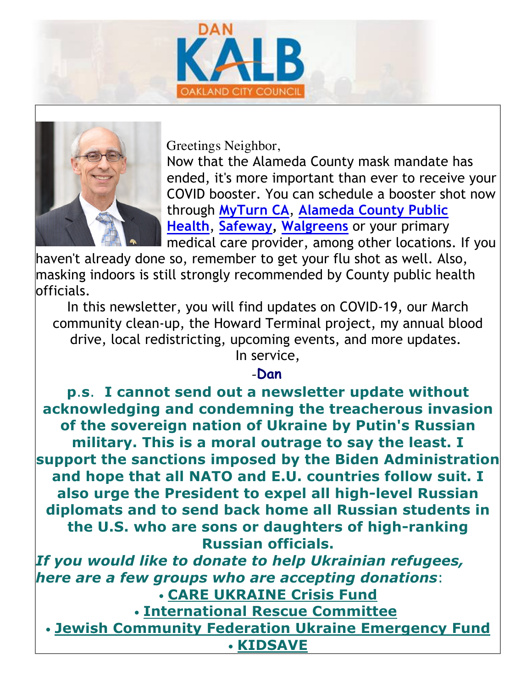



Greetings Neighbor,

Now that the Alameda County mask mandate has ended, it's more important than ever to receive your COVID booster. You can schedule a booster shot now through **MyTurn CA**, **Alameda County Public Health**, **Safeway, Walgreens** or your primary medical care provider, among other locations. If you

haven't already done so, remember to get your flu shot as well. Also, masking indoors is still strongly recommended by County public health officials.

In this newsletter, you will find updates on COVID-19, our March community clean-up, the Howard Terminal project, my annual blood drive, local redistricting, upcoming events, and more updates. In service,

#### -**Dan**

**p**.**s**. **I cannot send out a newsletter update without acknowledging and condemning the treacherous invasion of the sovereign nation of Ukraine by Putin's Russian military. This is a moral outrage to say the least. I support the sanctions imposed by the Biden Administration and hope that all NATO and E.U. countries follow suit. I also urge the President to expel all high-level Russian diplomats and to send back home all Russian students in the U.S. who are sons or daughters of high-ranking Russian officials.**

*If you would like to donate to help Ukrainian refugees, here are a few groups who are accepting donations*: • **CARE UKRAINE Crisis Fund** • **International Rescue Committee**

• **Jewish Community Federation Ukraine Emergency Fund** • **KIDSAVE**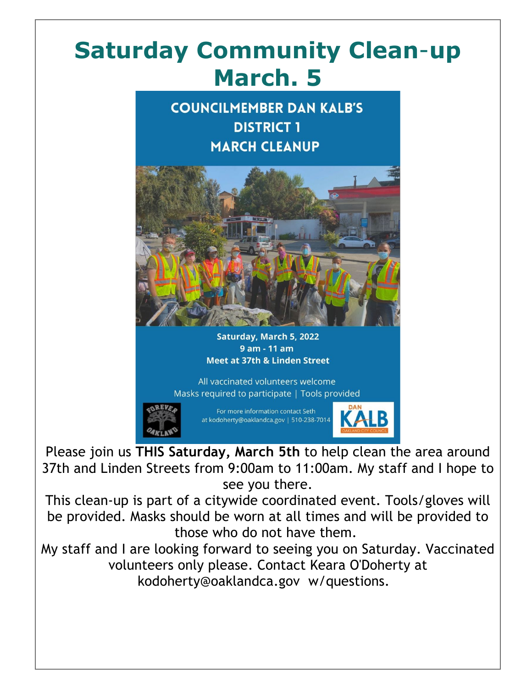#### **Saturday Community Clean**-**up March. 5**





Saturday, March 5, 2022 9 am - 11 am **Meet at 37th & Linden Street** 

All vaccinated volunteers welcome Masks required to participate | Tools provided



For more information contact Seth at kodoherty@oaklandca.gov | 510-238-7014

KALB

Please join us **THIS Saturday, March 5th** to help clean the area around 37th and Linden Streets from 9:00am to 11:00am. My staff and I hope to see you there.

This clean-up is part of a citywide coordinated event. Tools/gloves will be provided. Masks should be worn at all times and will be provided to those who do not have them.

My staff and I are looking forward to seeing you on Saturday. Vaccinated volunteers only please. Contact Keara O'Doherty at kodoherty@oaklandca.gov w/questions.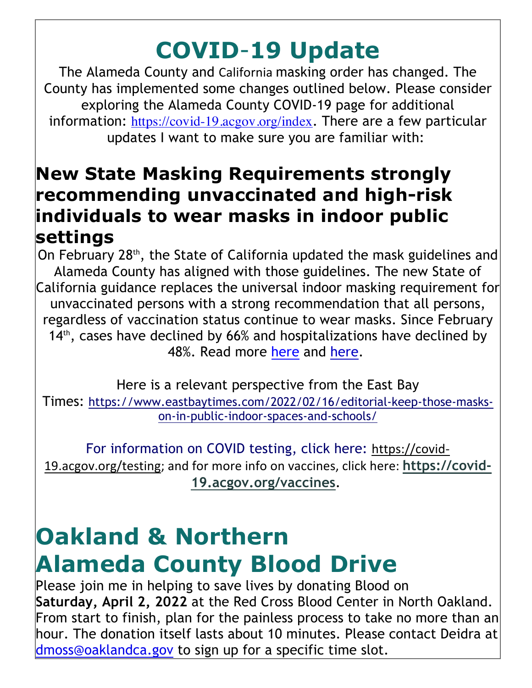#### **COVID**-**19 Update**

The Alameda County and California masking order has changed. The County has implemented some changes outlined below. Please consider exploring the Alameda County COVID-19 page for additional information: https://covid-19.acgov.org/index. There are a few particular updates I want to make sure you are familiar with:

#### **New State Masking Requirements strongly recommending unvaccinated and high-risk individuals to wear masks in indoor public settings**

On February 28<sup>th</sup>, the State of California updated the mask guidelines and Alameda County has aligned with those guidelines. The new State of California guidance replaces the universal indoor masking requirement for unvaccinated persons with a strong recommendation that all persons, regardless of vaccination status continue to wear masks. Since February  $14<sup>th</sup>$ , cases have declined by 66% and hospitalizations have declined by 48%. Read more here and here.

Here is a relevant perspective from the East Bay Times: https://www.eastbaytimes.com/2022/02/16/editorial-keep-those-maskson-in-public-indoor-spaces-and-schools/

For information on COVID testing, click here: https://covid-19.acgov.org/testing; and for more info on vaccines, click here: https://covid-**19.acgov.org/vaccines**.

#### **Oakland & Northern Alameda County Blood Drive**

Please join me in helping to save lives by donating Blood on **Saturday, April 2, 2022** at the Red Cross Blood Center in North Oakland. From start to finish, plan for the painless process to take no more than an hour. The donation itself lasts about 10 minutes. Please contact Deidra at dmoss@oaklandca.gov to sign up for a specific time slot.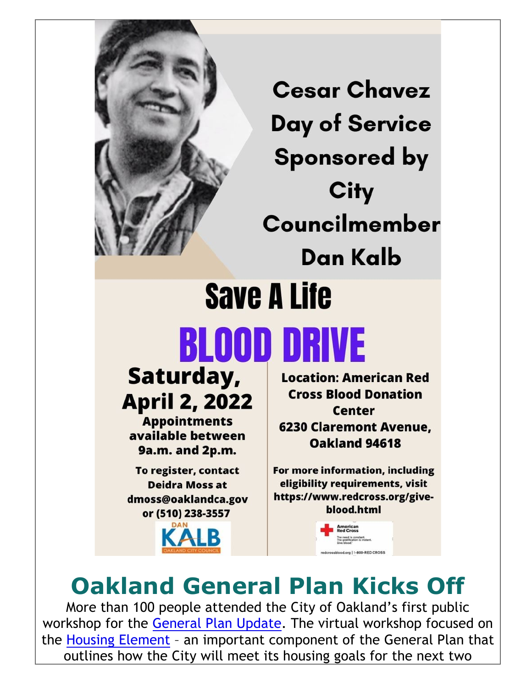

**Cesar Chavez Day of Service Sponsored by City** Councilmember Dan Kalb **Save A Life** 

# **BLOOD DRIVE**

Saturday, **April 2, 2022** 

**Appointments** available between 9a.m. and 2p.m.

To register, contact **Deidra Moss at** dmoss@oaklandca.gov or (510) 238-3557

**Location: American Red Cross Blood Donation Center 6230 Claremont Avenue.** Oakland 94618

For more information, including eligibility requirements, visit https://www.redcross.org/giveblood.html

Lorg | 1-800-RED CROSS

#### **Oakland General Plan Kicks Off**

More than 100 people attended the City of Oakland's first public workshop for the General Plan Update. The virtual workshop focused on the Housing Element – an important component of the General Plan that outlines how the City will meet its housing goals for the next two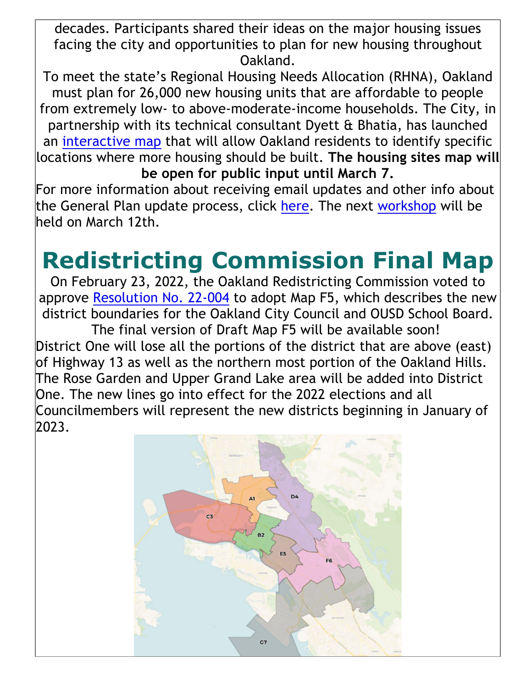decades. Participants shared their ideas on the major housing issues facing the city and opportunities to plan for new housing throughout Oakland.

To meet the state's Regional Housing Needs Allocation (RHNA), Oakland must plan for 26,000 new housing units that are affordable to people from extremely low- to above-moderate-income households. The City, in partnership with its technical consultant Dyett & Bhatia, has launched an interactive map that will allow Oakland residents to identify specific locations where more housing should be built. **The housing sites map will be open for public input until March 7.**

For more information about receiving email updates and other info about the General Plan update process, click here. The next workshop will be held on March 12th.

#### **Redistricting Commission Final Map**

On February 23, 2022, the Oakland Redistricting Commission voted to approve Resolution No. 22-004 to adopt Map F5, which describes the new district boundaries for the Oakland City Council and OUSD School Board. The final version of Draft Map F5 will be available soon! District One will lose all the portions of the district that are above (east) of Highway 13 as well as the northern most portion of the Oakland Hills. The Rose Garden and Upper Grand Lake area will be added into District One. The new lines go into effect for the 2022 elections and all Councilmembers will represent the new districts beginning in January of 2023.

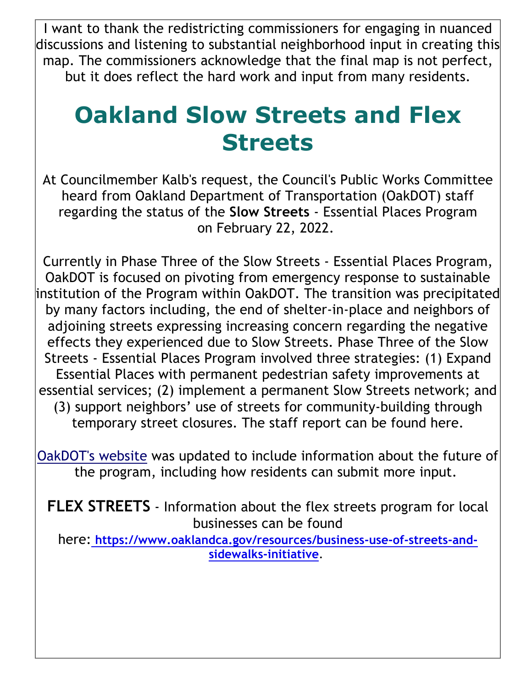I want to thank the redistricting commissioners for engaging in nuanced discussions and listening to substantial neighborhood input in creating this map. The commissioners acknowledge that the final map is not perfect, but it does reflect the hard work and input from many residents.

#### **Oakland Slow Streets and Flex Streets**

At Councilmember Kalb's request, the Council's Public Works Committee heard from Oakland Department of Transportation (OakDOT) staff regarding the status of the **Slow Streets** - Essential Places Program on February 22, 2022.

Currently in Phase Three of the Slow Streets - Essential Places Program, OakDOT is focused on pivoting from emergency response to sustainable institution of the Program within OakDOT. The transition was precipitated by many factors including, the end of shelter-in-place and neighbors of adjoining streets expressing increasing concern regarding the negative effects they experienced due to Slow Streets. Phase Three of the Slow Streets - Essential Places Program involved three strategies: (1) Expand Essential Places with permanent pedestrian safety improvements at essential services; (2) implement a permanent Slow Streets network; and (3) support neighbors' use of streets for community-building through temporary street closures. The staff report can be found here.

OakDOT's website was updated to include information about the future of the program, including how residents can submit more input.

**FLEX STREETS** - Information about the flex streets program for local businesses can be found

here: **https://www.oaklandca.gov/resources/business-use-of-streets-andsidewalks-initiative**.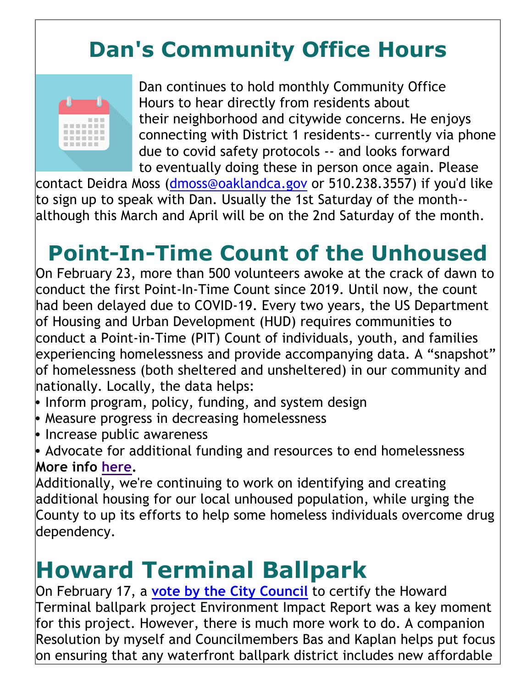#### **Dan's Community Office Hours**



Dan continues to hold monthly Community Office Hours to hear directly from residents about their neighborhood and citywide concerns. He enjoys connecting with District 1 residents-- currently via phone due to covid safety protocols -- and looks forward to eventually doing these in person once again. Please

contact Deidra Moss (dmoss@oaklandca.gov or 510.238.3557) if you'd like to sign up to speak with Dan. Usually the 1st Saturday of the month- although this March and April will be on the 2nd Saturday of the month.

#### **Point-In-Time Count of the Unhoused**

On February 23, more than 500 volunteers awoke at the crack of dawn to conduct the first Point-In-Time Count since 2019. Until now, the count had been delayed due to COVID-19. Every two years, the US Department of Housing and Urban Development (HUD) requires communities to conduct a Point-in-Time (PIT) Count of individuals, youth, and families experiencing homelessness and provide accompanying data. A "snapshot" of homelessness (both sheltered and unsheltered) in our community and nationally. Locally, the data helps:

- Inform program, policy, funding, and system design
- Measure progress in decreasing homelessness
- Increase public awareness
- Advocate for additional funding and resources to end homelessness **More info here.**

Additionally, we're continuing to work on identifying and creating additional housing for our local unhoused population, while urging the County to up its efforts to help some homeless individuals overcome drug dependency.

#### **Howard Terminal Ballpark**

On February 17, a **vote by the City Council** to certify the Howard Terminal ballpark project Environment Impact Report was a key moment for this project. However, there is much more work to do. A companion Resolution by myself and Councilmembers Bas and Kaplan helps put focus on ensuring that any waterfront ballpark district includes new affordable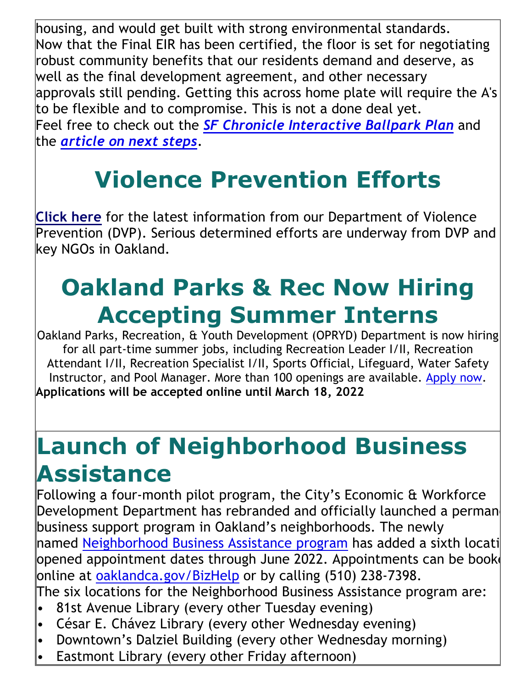housing, and would get built with strong environmental standards. Now that the Final EIR has been certified, the floor is set for negotiating robust community benefits that our residents demand and deserve, as well as the final development agreement, and other necessary approvals still pending. Getting this across home plate will require the A's to be flexible and to compromise. This is not a done deal yet. Feel free to check out the *SF Chronicle Interactive Ballpark Plan* and the *article on next steps.*

## **Violence Prevention Efforts**

**Click here** for the latest information from our Department of Violence Prevention (DVP). Serious determined efforts are underway from DVP and key NGOs in Oakland.

## **Oakland Parks & Rec Now Hiring Accepting Summer Interns**

Oakland Parks, Recreation, & Youth Development (OPRYD) Department is now hiring for all part-time summer jobs, including Recreation Leader I/II, Recreation Attendant I/II, Recreation Specialist I/II, Sports Official, Lifeguard, Water Safety Instructor, and Pool Manager. More than 100 openings are available. Apply now. **Applications will be accepted online until March 18, 2022**

### **Launch of Neighborhood Business Assistance**

Following a four-month pilot program, the City's Economic & Workforce Development Department has rebranded and officially launched a perman business support program in Oakland's neighborhoods. The newly named Neighborhood Business Assistance program has added a sixth locati opened appointment dates through June 2022. Appointments can be booke online at oaklandca.gov/BizHelp or by calling (510) 238-7398. The six locations for the Neighborhood Business Assistance program are:

- 81st Avenue Library (every other Tuesday evening)
- César E. Chávez Library (every other Wednesday evening)
- Downtown's Dalziel Building (every other Wednesday morning)
- Eastmont Library (every other Friday afternoon)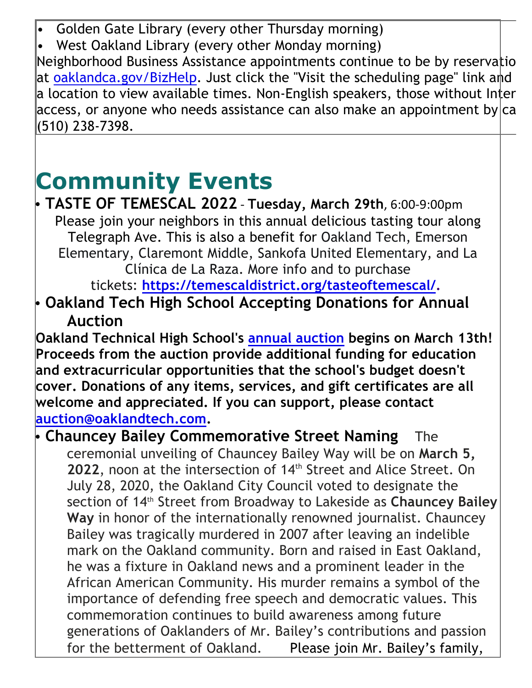• Golden Gate Library (every other Thursday morning)

West Oakland Library (every other Monday morning)

Neighborhood Business Assistance appointments continue to be by reservatio at oaklandca.gov/BizHelp. Just click the "Visit the scheduling page" link and a location to view available times. Non-English speakers, those without Inter access, or anyone who needs assistance can also make an appointment by  $|ca|$ (510) 238-7398.

#### **Community Events**

**• TASTE OF TEMESCAL 2022 - Tuesday, March 29th, 6:00-9:00pm** Please join your neighbors in this annual delicious tasting tour along Telegraph Ave. This is also a benefit for Oakland Tech, Emerson Elementary, Claremont Middle, Sankofa United Elementary, and La Clínica de La Raza. More info and to purchase

tickets: **https://temescaldistrict.org/tasteoftemescal/.**

• **Oakland Tech High School Accepting Donations for Annual Auction**

**Oakland Technical High School's annual auction begins on March 13th! Proceeds from the auction provide additional funding for education and extracurricular opportunities that the school's budget doesn't cover. Donations of any items, services, and gift certificates are all welcome and appreciated. If you can support, please contact auction@oaklandtech.com.**

• **Chauncey Bailey Commemorative Street Naming** The ceremonial unveiling of Chauncey Bailey Way will be on **March 5,**  2022, noon at the intersection of 14<sup>th</sup> Street and Alice Street. On July 28, 2020, the Oakland City Council voted to designate the section of 14th Street from Broadway to Lakeside as **Chauncey Bailey Way** in honor of the internationally renowned journalist. Chauncey Bailey was tragically murdered in 2007 after leaving an indelible mark on the Oakland community. Born and raised in East Oakland, he was a fixture in Oakland news and a prominent leader in the African American Community. His murder remains a symbol of the importance of defending free speech and democratic values. This commemoration continues to build awareness among future generations of Oaklanders of Mr. Bailey's contributions and passion for the betterment of Oakland. Please join Mr. Bailey's family,